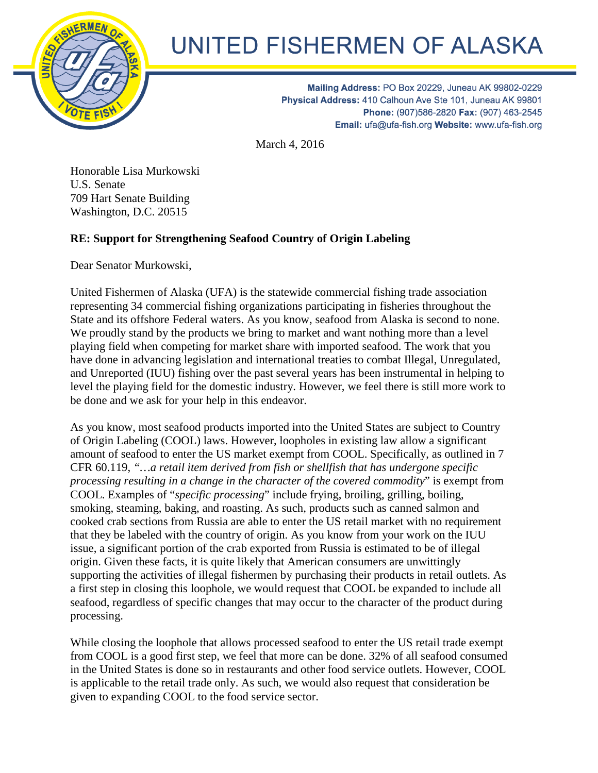

## UNITED FISHERMEN OF ALASKA

Mailing Address: PO Box 20229, Juneau AK 99802-0229 Physical Address: 410 Calhoun Ave Ste 101, Juneau AK 99801 Phone: (907)586-2820 Fax: (907) 463-2545 Email: ufa@ufa-fish.org Website: www.ufa-fish.org

March 4, 2016

Honorable Lisa Murkowski U.S. Senate 709 Hart Senate Building Washington, D.C. 20515

## **RE: Support for Strengthening Seafood Country of Origin Labeling**

Dear Senator Murkowski,

United Fishermen of Alaska (UFA) is the statewide commercial fishing trade association representing 34 commercial fishing organizations participating in fisheries throughout the State and its offshore Federal waters. As you know, seafood from Alaska is second to none. We proudly stand by the products we bring to market and want nothing more than a level playing field when competing for market share with imported seafood. The work that you have done in advancing legislation and international treaties to combat Illegal, Unregulated, and Unreported (IUU) fishing over the past several years has been instrumental in helping to level the playing field for the domestic industry. However, we feel there is still more work to be done and we ask for your help in this endeavor.

As you know, most seafood products imported into the United States are subject to Country of Origin Labeling (COOL) laws. However, loopholes in existing law allow a significant amount of seafood to enter the US market exempt from COOL. Specifically, as outlined in 7 CFR 60.119, *"…a retail item derived from fish or shellfish that has undergone specific processing resulting in a change in the character of the covered commodity*" is exempt from COOL. Examples of "*specific processing*" include frying, broiling, grilling, boiling, smoking, steaming, baking, and roasting. As such, products such as canned salmon and cooked crab sections from Russia are able to enter the US retail market with no requirement that they be labeled with the country of origin. As you know from your work on the IUU issue, a significant portion of the crab exported from Russia is estimated to be of illegal origin. Given these facts, it is quite likely that American consumers are unwittingly supporting the activities of illegal fishermen by purchasing their products in retail outlets. As a first step in closing this loophole, we would request that COOL be expanded to include all seafood, regardless of specific changes that may occur to the character of the product during processing.

While closing the loophole that allows processed seafood to enter the US retail trade exempt from COOL is a good first step, we feel that more can be done. 32% of all seafood consumed in the United States is done so in restaurants and other food service outlets. However, COOL is applicable to the retail trade only. As such, we would also request that consideration be given to expanding COOL to the food service sector.